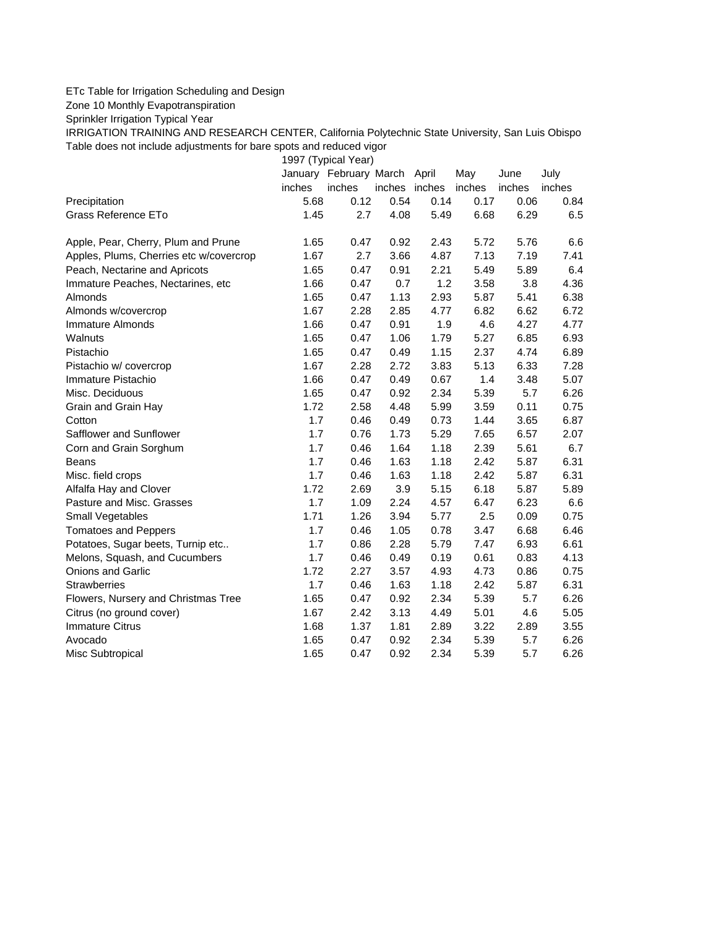## ETc Table for Irrigation Scheduling and Design

Zone 10 Monthly Evapotranspiration

Sprinkler Irrigation Typical Year

IRRIGATION TRAINING AND RESEARCH CENTER, California Polytechnic State University, San Luis Obispo Table does not include adjustments for bare spots and reduced vigor

1997 (Typical Year)

|                                         |        | January February March April |               |      | May    | June   | July   |
|-----------------------------------------|--------|------------------------------|---------------|------|--------|--------|--------|
|                                         | inches | inches                       | inches inches |      | inches | inches | inches |
| Precipitation                           | 5.68   | 0.12                         | 0.54          | 0.14 | 0.17   | 0.06   | 0.84   |
| Grass Reference ETo                     | 1.45   | 2.7                          | 4.08          | 5.49 | 6.68   | 6.29   | 6.5    |
| Apple, Pear, Cherry, Plum and Prune     | 1.65   | 0.47                         | 0.92          | 2.43 | 5.72   | 5.76   | 6.6    |
| Apples, Plums, Cherries etc w/covercrop | 1.67   | 2.7                          | 3.66          | 4.87 | 7.13   | 7.19   | 7.41   |
| Peach, Nectarine and Apricots           | 1.65   | 0.47                         | 0.91          | 2.21 | 5.49   | 5.89   | 6.4    |
| Immature Peaches, Nectarines, etc.      | 1.66   | 0.47                         | 0.7           | 1.2  | 3.58   | 3.8    | 4.36   |
| Almonds                                 | 1.65   | 0.47                         | 1.13          | 2.93 | 5.87   | 5.41   | 6.38   |
| Almonds w/covercrop                     | 1.67   | 2.28                         | 2.85          | 4.77 | 6.82   | 6.62   | 6.72   |
| Immature Almonds                        | 1.66   | 0.47                         | 0.91          | 1.9  | 4.6    | 4.27   | 4.77   |
| Walnuts                                 | 1.65   | 0.47                         | 1.06          | 1.79 | 5.27   | 6.85   | 6.93   |
| Pistachio                               | 1.65   | 0.47                         | 0.49          | 1.15 | 2.37   | 4.74   | 6.89   |
| Pistachio w/ covercrop                  | 1.67   | 2.28                         | 2.72          | 3.83 | 5.13   | 6.33   | 7.28   |
| Immature Pistachio                      | 1.66   | 0.47                         | 0.49          | 0.67 | 1.4    | 3.48   | 5.07   |
| Misc. Deciduous                         | 1.65   | 0.47                         | 0.92          | 2.34 | 5.39   | 5.7    | 6.26   |
| Grain and Grain Hay                     | 1.72   | 2.58                         | 4.48          | 5.99 | 3.59   | 0.11   | 0.75   |
| Cotton                                  | 1.7    | 0.46                         | 0.49          | 0.73 | 1.44   | 3.65   | 6.87   |
| Safflower and Sunflower                 | 1.7    | 0.76                         | 1.73          | 5.29 | 7.65   | 6.57   | 2.07   |
| Corn and Grain Sorghum                  | 1.7    | 0.46                         | 1.64          | 1.18 | 2.39   | 5.61   | 6.7    |
| Beans                                   | 1.7    | 0.46                         | 1.63          | 1.18 | 2.42   | 5.87   | 6.31   |
| Misc. field crops                       | 1.7    | 0.46                         | 1.63          | 1.18 | 2.42   | 5.87   | 6.31   |
| Alfalfa Hay and Clover                  | 1.72   | 2.69                         | 3.9           | 5.15 | 6.18   | 5.87   | 5.89   |
| Pasture and Misc. Grasses               | 1.7    | 1.09                         | 2.24          | 4.57 | 6.47   | 6.23   | 6.6    |
| Small Vegetables                        | 1.71   | 1.26                         | 3.94          | 5.77 | 2.5    | 0.09   | 0.75   |
| <b>Tomatoes and Peppers</b>             | 1.7    | 0.46                         | 1.05          | 0.78 | 3.47   | 6.68   | 6.46   |
| Potatoes, Sugar beets, Turnip etc       | 1.7    | 0.86                         | 2.28          | 5.79 | 7.47   | 6.93   | 6.61   |
| Melons, Squash, and Cucumbers           | 1.7    | 0.46                         | 0.49          | 0.19 | 0.61   | 0.83   | 4.13   |
| Onions and Garlic                       | 1.72   | 2.27                         | 3.57          | 4.93 | 4.73   | 0.86   | 0.75   |
| <b>Strawberries</b>                     | 1.7    | 0.46                         | 1.63          | 1.18 | 2.42   | 5.87   | 6.31   |
| Flowers, Nursery and Christmas Tree     | 1.65   | 0.47                         | 0.92          | 2.34 | 5.39   | 5.7    | 6.26   |
| Citrus (no ground cover)                | 1.67   | 2.42                         | 3.13          | 4.49 | 5.01   | 4.6    | 5.05   |
| <b>Immature Citrus</b>                  | 1.68   | 1.37                         | 1.81          | 2.89 | 3.22   | 2.89   | 3.55   |
| Avocado                                 | 1.65   | 0.47                         | 0.92          | 2.34 | 5.39   | 5.7    | 6.26   |
| Misc Subtropical                        | 1.65   | 0.47                         | 0.92          | 2.34 | 5.39   | 5.7    | 6.26   |